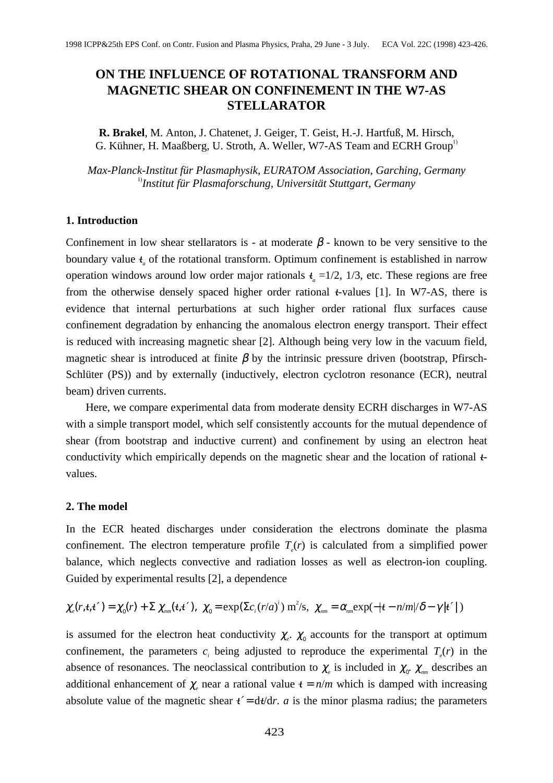# **ON THE INFLUENCE OF ROTATIONAL TRANSFORM AND MAGNETIC SHEAR ON CONFINEMENT IN THE W7-AS STELLARATOR**

**R. Brakel**, M. Anton, J. Chatenet, J. Geiger, T. Geist, H.-J. Hartfuß, M. Hirsch, G. Kühner, H. Maaßberg, U. Stroth, A. Weller, W7-AS Team and ECRH Group<sup>1</sup>

*Max-Planck-Institut für Plasmaphysik, EURATOM Association, Garching, Germany* 1)*Institut für Plasmaforschung, Universität Stuttgart, Germany*

#### **1. Introduction**

Confinement in low shear stellarators is - at moderate  $\beta$  - known to be very sensitive to the boundary value  $t_a$  of the rotational transform. Optimum confinement is established in narrow operation windows around low order major rationals  $t_a = 1/2$ , 1/3, etc. These regions are free from the otherwise densely spaced higher order rational  $t$ -values [1]. In W7-AS, there is evidence that internal perturbations at such higher order rational flux surfaces cause confinement degradation by enhancing the anomalous electron energy transport. Their effect is reduced with increasing magnetic shear [2]. Although being very low in the vacuum field, magnetic shear is introduced at finite  $\beta$  by the intrinsic pressure driven (bootstrap, Pfirsch-Schlüter (PS)) and by externally (inductively, electron cyclotron resonance (ECR), neutral beam) driven currents. **EXECUTE INFILUENCE OF ROTATIONAL TRANSFORM AND**<br> **MAGNETIC SHEAR ON CONFINEMENT IN THE W7-AS**<br> **R. Braich, M. Anton, J. Chances, J. (Since, H. J.). Fusion and LCMI Concept<br>
<b>R.** Braich, M. Anton, J. D. Magnetics, U.S. (S

Here, we compare experimental data from moderate density ECRH discharges in W7-AS with a simple transport model, which self consistently accounts for the mutual dependence of shear (from bootstrap and inductive current) and confinement by using an electron heat conductivity which empirically depends on the magnetic shear and the location of rational  $t$ values.

#### **2. The model**

In the ECR heated discharges under consideration the electrons dominate the plasma confinement. The electron temperature profile  $T_e(r)$  is calculated from a simplified power balance, which neglects convective and radiation losses as well as electron-ion coupling. Guided by experimental results [2], a dependence

$$
\chi_e(r, t, t') = \chi_0(r) + \Sigma \chi_{nm}(t, t'), \quad \chi_0 = \exp(\Sigma c_i (r/a)^i) \, \text{m}^2/\text{s}, \quad \chi_{nm} = \alpha_{nm} \exp(-|t - n/m|/\delta - \gamma |t'|)
$$

is assumed for the electron heat conductivity  $\chi_e$ .  $\chi_o$  accounts for the transport at optimum confinement, the parameters  $c_i$  being adjusted to reproduce the experimental  $T_e(r)$  in the absence of resonances. The neoclassical contribution to  $\chi_e$  is included in  $\chi_{0}$ .  $\chi_{nm}$  describes an additional enhancement of  $\chi$ <sub>e</sub> near a rational value  $t = n/m$  which is damped with increasing absolute value of the magnetic shear  $t' = dt/dr$ . *a* is the minor plasma radius; the parameters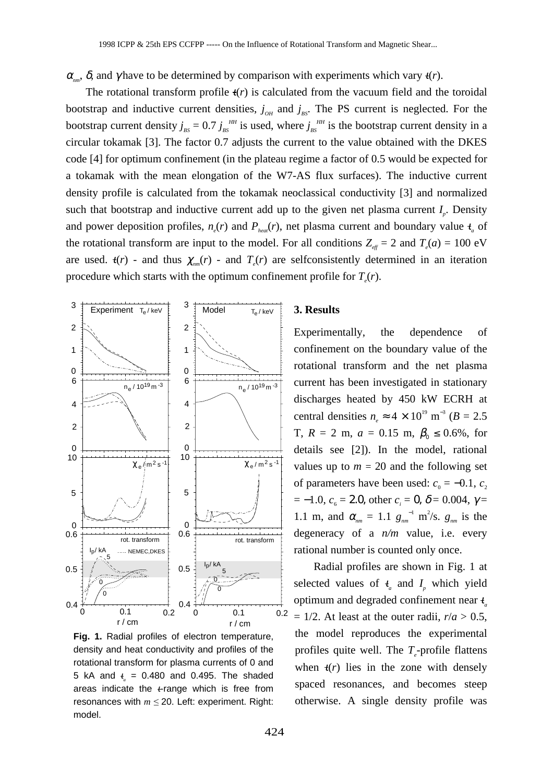$\alpha_{mn}$ ,  $\delta$ , and γ have to be determined by comparison with experiments which vary  $t(r)$ .

The rotational transform profile  $t(r)$  is calculated from the vacuum field and the toroidal bootstrap and inductive current densities,  $j_{OH}$  and  $j_{BS}$ . The PS current is neglected. For the bootstrap current density  $j_{BS} = 0.7 j_{BS}^{HH}$  is used, where  $j_{BS}^{HH}$  is the bootstrap current density in a circular tokamak [3]. The factor 0.7 adjusts the current to the value obtained with the DKES code [4] for optimum confinement (in the plateau regime a factor of 0.5 would be expected for a tokamak with the mean elongation of the W7-AS flux surfaces). The inductive current density profile is calculated from the tokamak neoclassical conductivity [3] and normalized such that bootstrap and inductive current add up to the given net plasma current  $I_n$ . Density and power deposition profiles,  $n_e(r)$  and  $P_{heat}(r)$ , net plasma current and boundary value  $t_a$  of the rotational transform are input to the model. For all conditions  $Z_{\text{eff}} = 2$  and  $T_{e}(a) = 100 \text{ eV}$ are used.  $t(r)$  - and thus  $\chi_{nm}(r)$  - and  $T_e(r)$  are selfconsistently determined in an iteration procedure which starts with the optimum confinement profile for  $T_e(r)$ .



**Fig. 1.** Radial profiles of electron temperature, density and heat conductivity and profiles of the rotational transform for plasma currents of 0 and 5 kA and  $t_a = 0.480$  and 0.495. The shaded areas indicate the  $t$ -range which is free from resonances with  $m \le 20$ . Left: experiment. Right: model.

### **3. Results**

Experimentally, the dependence of confinement on the boundary value of the rotational transform and the net plasma current has been investigated in stationary discharges heated by 450 kW ECRH at central densities  $n_e \approx 4 \times 10^{19}$  m<sup>-3</sup> ( $B = 2.5$ T,  $R = 2$  m,  $a = 0.15$  m,  $\beta_0 \le 0.6\%$ , for details see [2]). In the model, rational values up to  $m = 20$  and the following set of parameters have been used:  $c_0 = -0.1$ ,  $c_2$  $=-1.0, c<sub>6</sub> = 2.0, other c<sub>i</sub> = 0, δ = 0.004, γ =$ 1.1 m, and  $\alpha_{nm} = 1.1 g_{nm}^{-1} \text{ m}^2/\text{s}$ .  $g_{nm}$  is the degeneracy of a *n/m* value, i.e. every rational number is counted only once.

Radial profiles are shown in Fig. 1 at selected values of  $t_a$  and  $I_n$  which yield optimum and degraded confinement near <sup>ι</sup>*<sup>a</sup>*  $= 1/2$ . At least at the outer radii,  $r/a > 0.5$ , the model reproduces the experimental profiles quite well. The *T*<sub>e</sub>-profile flattens when  $t(r)$  lies in the zone with densely spaced resonances, and becomes steep otherwise. A single density profile was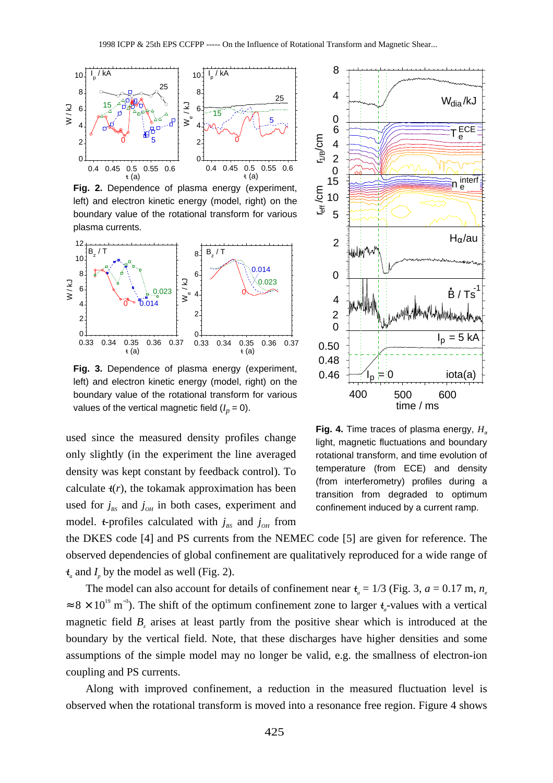

**Fig. 2.** Dependence of plasma energy (experiment, left) and electron kinetic energy (model, right) on the boundary value of the rotational transform for various plasma currents*.*



**Fig. 3.** Dependence of plasma energy (experiment, left) and electron kinetic energy (model, right) on the boundary value of the rotational transform for various values of the vertical magnetic field  $(I_p = 0)$ .

used since the measured density profiles change only slightly (in the experiment the line averaged density was kept constant by feedback control). To calculate  $t(r)$ , the tokamak approximation has been used for  $j_{\text{BS}}$  and  $j_{\text{OH}}$  in both cases, experiment and model. *t*-profiles calculated with  $j_{BS}$  and  $j_{OH}$  from



**Fig. 4.** Time traces of plasma energy,  $H_a$ light, magnetic fluctuations and boundary rotational transform, and time evolution of temperature (from ECE) and density (from interferometry) profiles during a transition from degraded to optimum confinement induced by a current ramp.

the DKES code [4] and PS currents from the NEMEC code [5] are given for reference. The observed dependencies of global confinement are qualitatively reproduced for a wide range of  $t_a$  and  $I_p$  by the model as well (Fig. 2).

The model can also account for details of confinement near  $t_a = 1/3$  (Fig. 3,  $a = 0.17$  m,  $n_a$ )  $\approx 8 \times 10^{19}$  m<sup>-3</sup>). The shift of the optimum confinement zone to larger  $t_a$ -values with a vertical magnetic field  $B<sub>z</sub>$  arises at least partly from the positive shear which is introduced at the boundary by the vertical field. Note, that these discharges have higher densities and some assumptions of the simple model may no longer be valid, e.g. the smallness of electron-ion coupling and PS currents.

Along with improved confinement, a reduction in the measured fluctuation level is observed when the rotational transform is moved into a resonance free region. Figure 4 shows